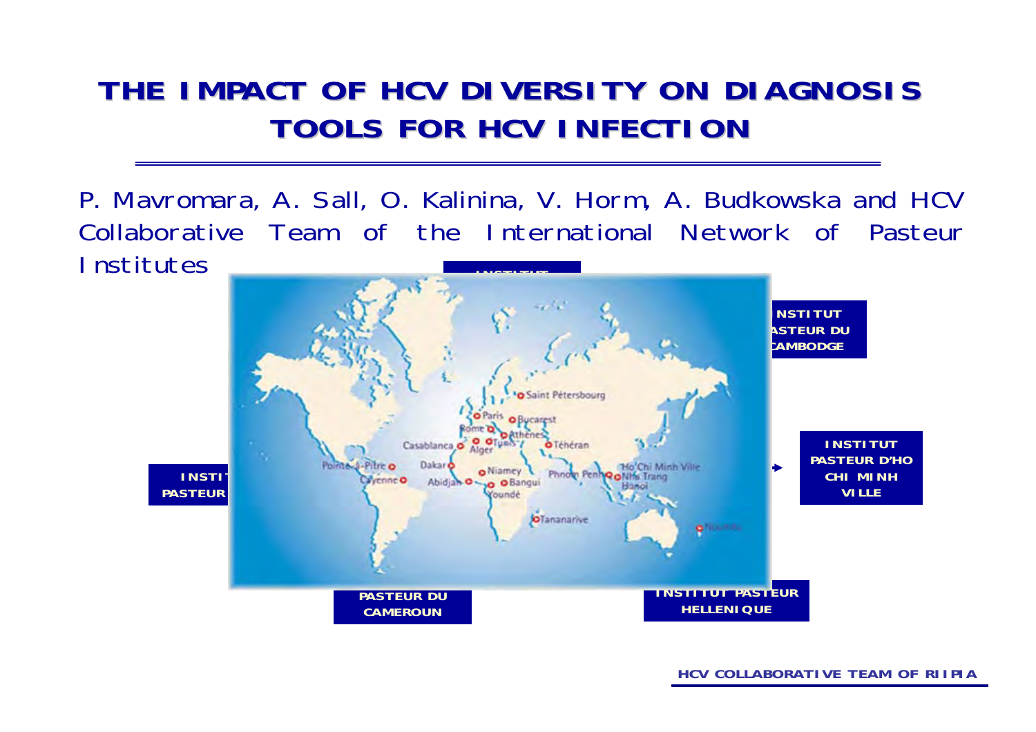#### **THE IMPACT OF HCV DIVERSITY ON DIAGNOSIS THE IMPACT OF HCV DIVERSITY ON DIAGNOSIS TOOLS FOR HCV INFECTION TOOLS FOR HCV INFECTION**

P. Mavromara, A. Sall, O. Kalinina, V. Horm, A. Budkowska and HCV Collaborative Team of the International Network of Pasteur **Institutes INSTITUT** 

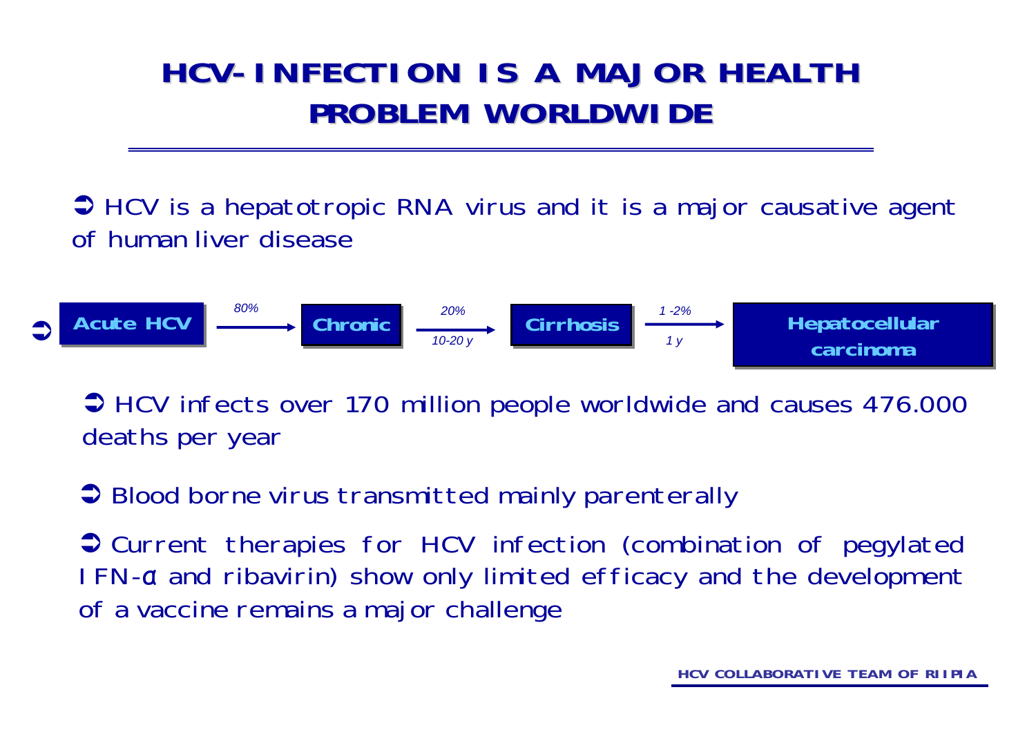## **HCV-INFECTION IS A MAJOR HEALTH INFECTION IS A MAJOR HEALTH PROBLEM WORLDWIDE PROBLEM WORLDWIDE**

 $\bigcirc$  HCV is a hepatotropic RNA virus and it is a major causative agent of human liver disease

| Active HCV | $\frac{80\%}{\text{O}} \rightarrow \text{Chronic}$ | $\frac{20\%}{10\cdot 20\gamma}$ | Cirrhosis | $\frac{1\cdot 2\%}{1\gamma}$ | Hepatocellular<br>carcinoma |
|------------|----------------------------------------------------|---------------------------------|-----------|------------------------------|-----------------------------|
|------------|----------------------------------------------------|---------------------------------|-----------|------------------------------|-----------------------------|

◆ HCV infects over 170 million people worldwide and causes 476.000 deaths per year

 $\supset$  Blood borne virus transmitted mainly parenterally

 $\bullet$  Current therapies for HCV infection (combination of pegylated IFN-a and ribavirin) show only limited efficacy and the development of a vaccine remains a major challenge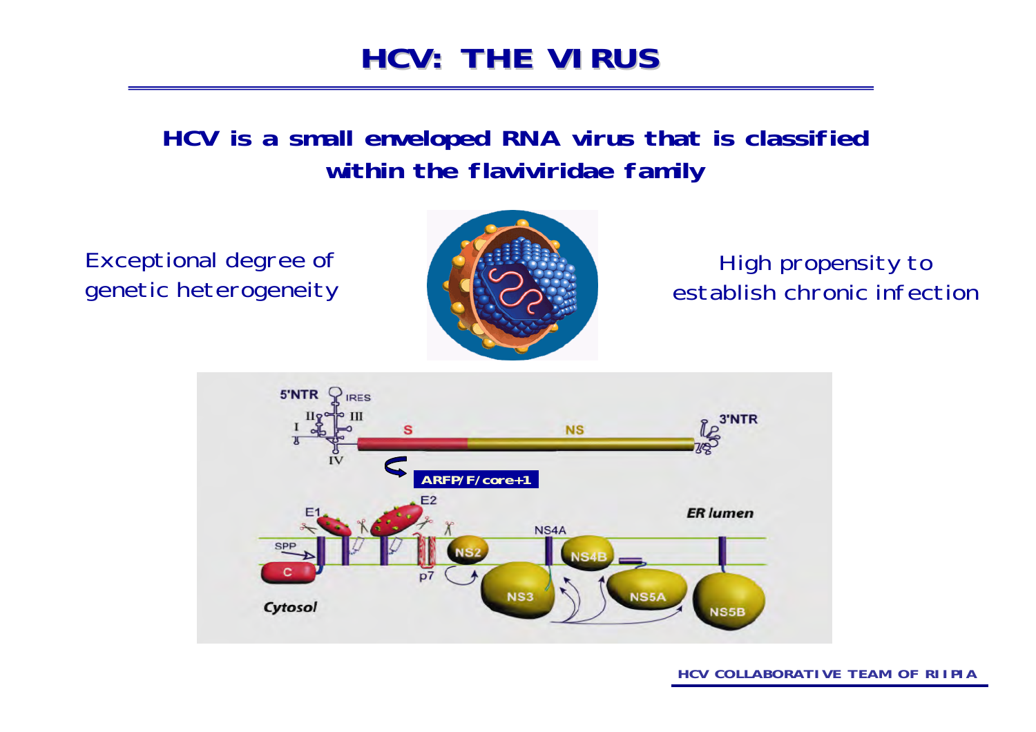## **HCV: THE VIRUS HCV: THE VIRUS**

#### **HCV is a small enveloped RNA virus that is classified within the flaviviridae family**

Exceptional degree of genetic heterogeneity



#### High propensity to establish chronic infection

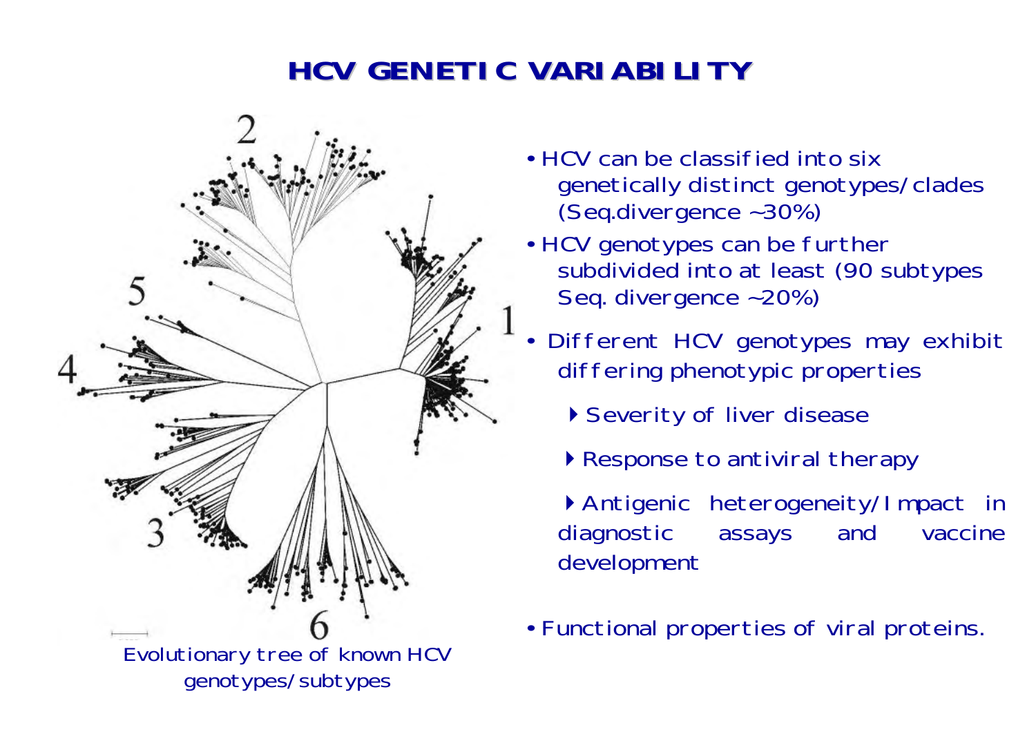### **HCV GENETIC VARIABILITY GENETIC VARIABILITY**



- HCV can be classified into six genetically distinct genotypes/clades (Seq.divergence ~30%)
- HCV genotypes can be further subdivided into at least (90 subtypes Seq. divergence ~20%)
- • Different HCV genotypes may exhibit differing phenotypic properties
	- ▶ Severity of liver disease
	- Response to antiviral therapy

Antigenic heterogeneity/Impact in diagnostic assays and vaccine development

• Functional properties of viral proteins.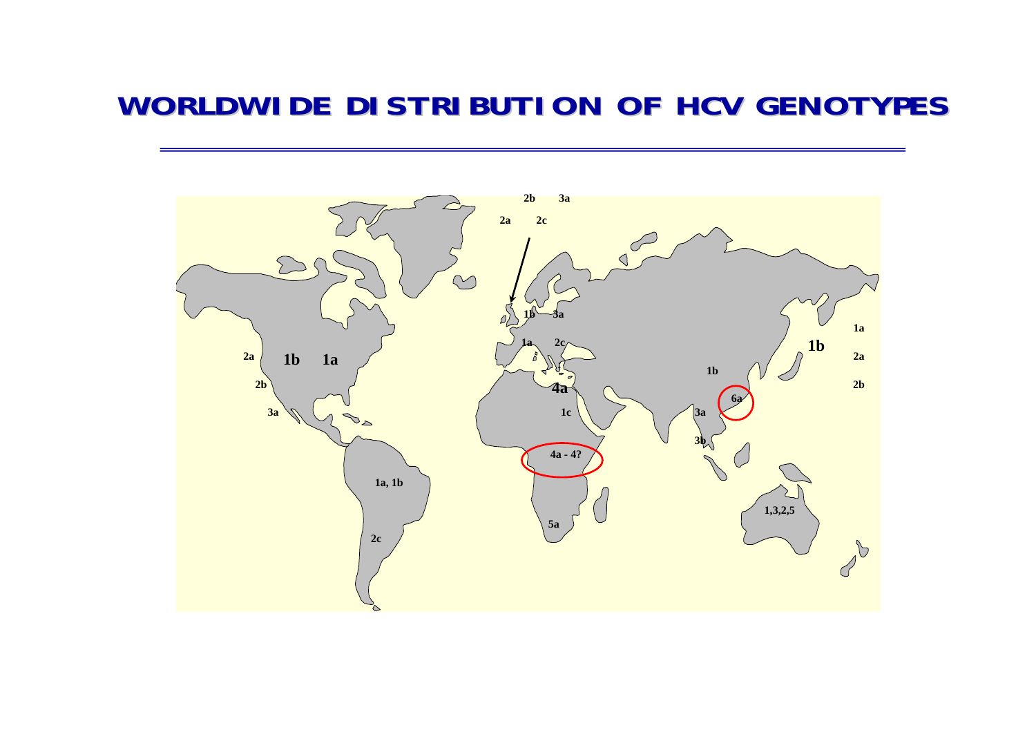#### **WORLDWIDE DISTRIBUTION OF HCV GENOTYPES WORLDWIDE DISTRIBUTION OF HCV GENOTYPES**

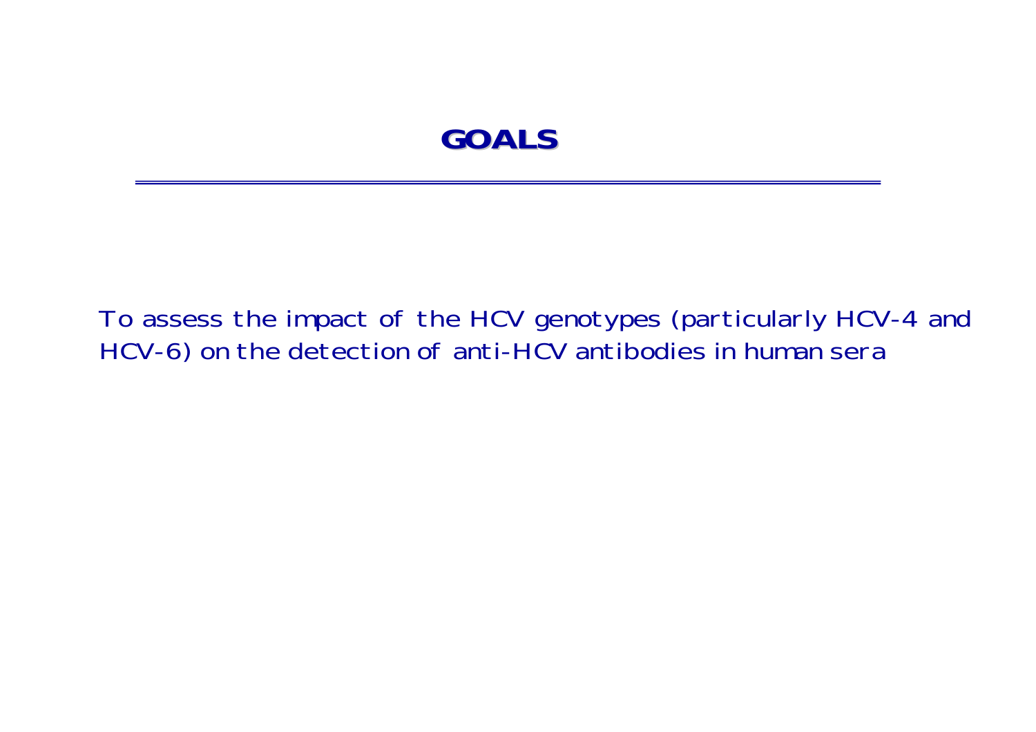#### **GOALS**

To assess the impact of the HCV genotypes (particularly HCV-4 and HCV-6) on the detection of anti-HCV antibodies in human sera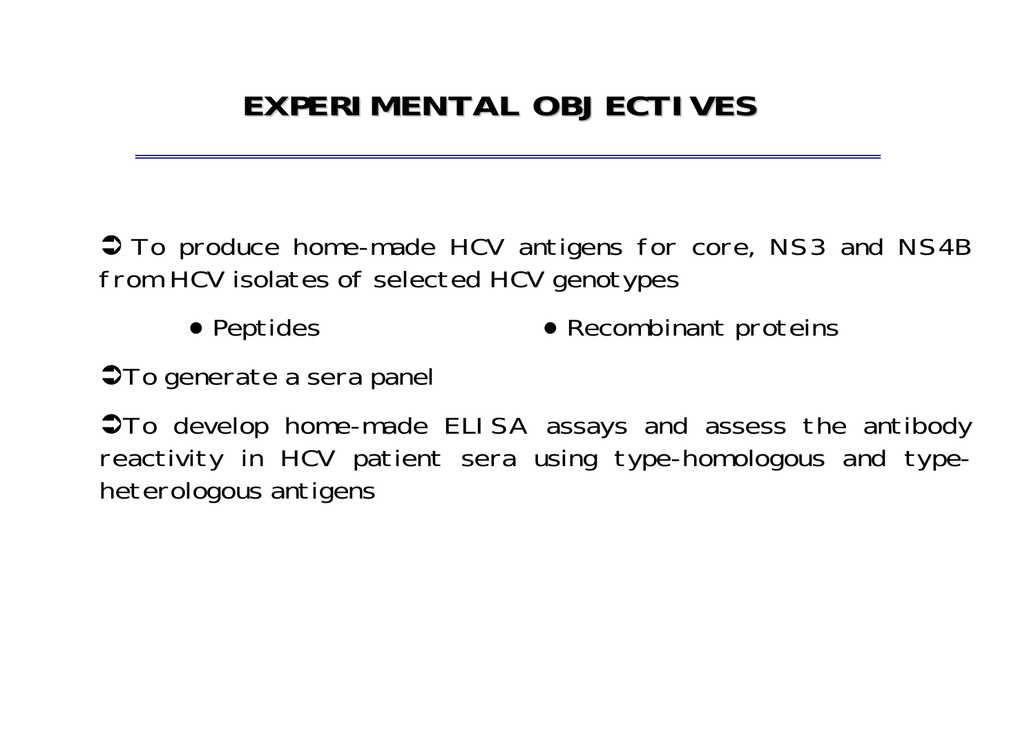# **EXPERIMENTAL OBJECTIVES EXPERIMENTAL OBJECTIVES**

 $\bullet$  To produce home-made HCV antigens for core, NS3 and NS4B from HCV isolates of selected HCV genotypes

> ● Peptides • Recombinant proteins

**STo generate a sera panel** 

 $\bullet$ To develop home-made ELISA assays and assess the antibody reactivity in HCV patient sera using type-homologous and typeheterologous antigens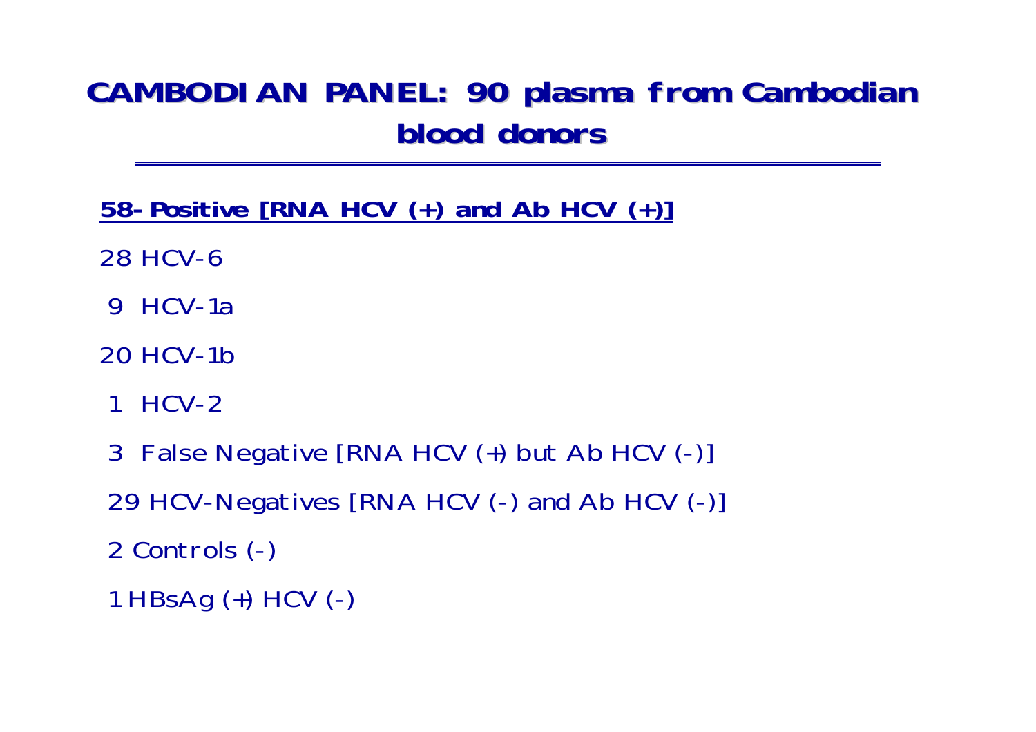## **CAMBODIAN PANEL: 90 plasma from Cambodian blood donors blood donors**

- **58-Positive [RNA HCV (+) and Ab HCV (+)]**
- 28 HCV-6
- 9 HCV-1a
- 20 HCV-1b
- 1 HCV-2
- 3 False Negative [RNA HCV (+) but Ab HCV (-)]
- 29 HCV-Negatives [RNA HCV (-) and Ab HCV (-)]
- 2 Controls (-)
- 1 HBsAg (+) HCV (-)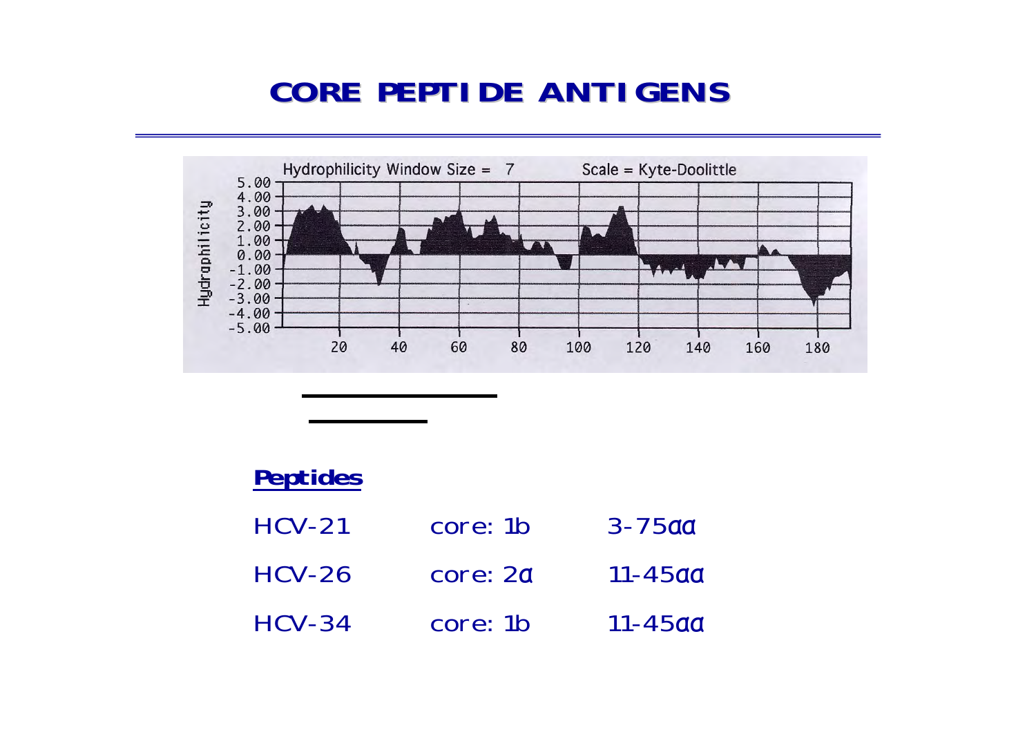## **CORE PEPTIDE ANTIGENS CORE PEPTIDE ANTIGENS**



| <b>Peptides</b> |          |                 |
|-----------------|----------|-----------------|
| $HCV-21$        | core: 1b | $3 - 75$ aa     |
| $HCV-26$        | core: 2a | 11-45aa         |
| $HCV-34$        | core: 1b | <u> 11-45aa</u> |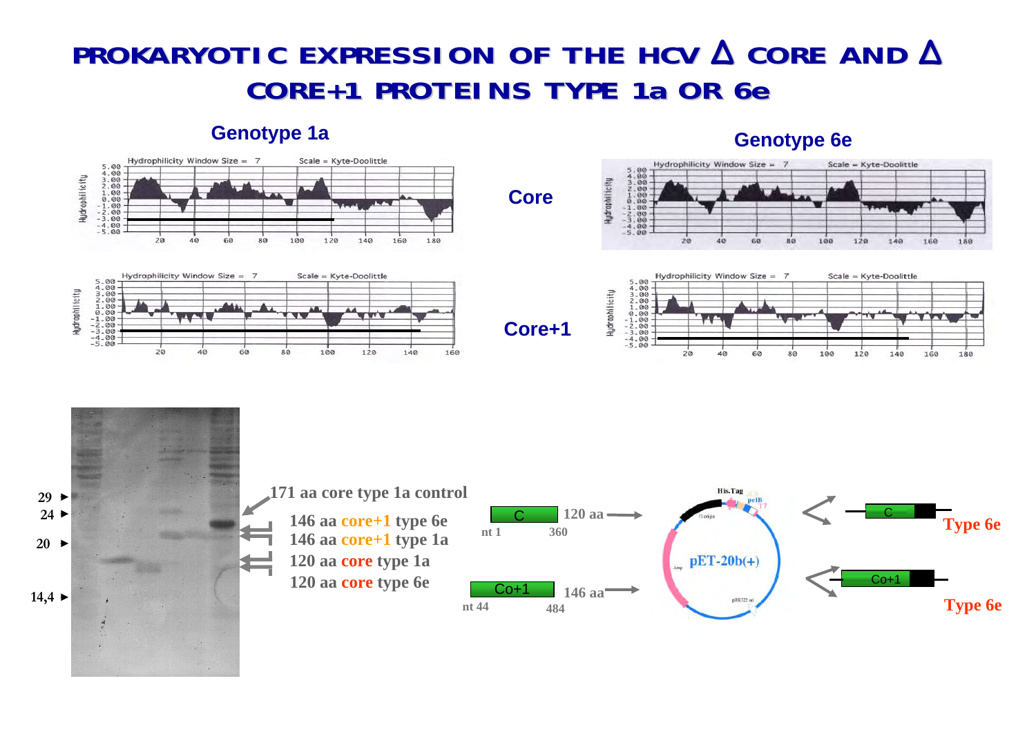#### **PROKARYOTIC EXPRESSION OF THE HCV PROKARYOTIC EXPRESSION OF THE HCV ∆ CORE AND CORE AND ∆ CORE+1 PROTEINS TYPE 1a OR 6e CORE+1 PROTEINS TYPE 1a OR 6e**

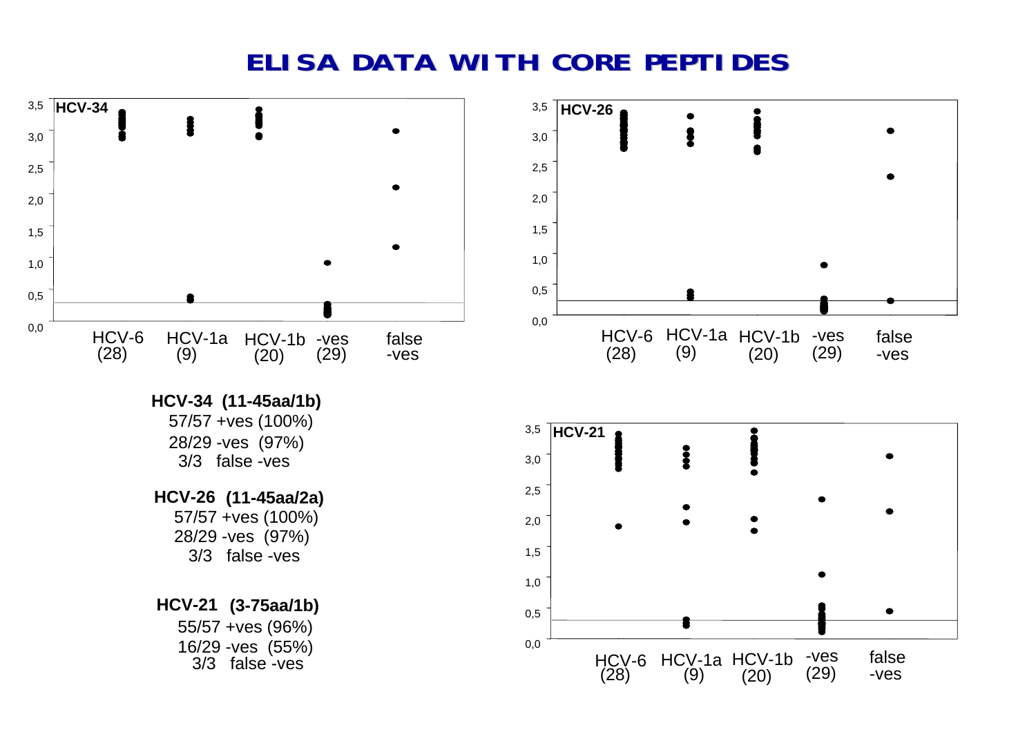#### **ELISA DATA WITH CORE PEPTIDES ELISA DATA WITH CORE PEPTIDES**

false -ves

false -ves

-ves (29)

(29)

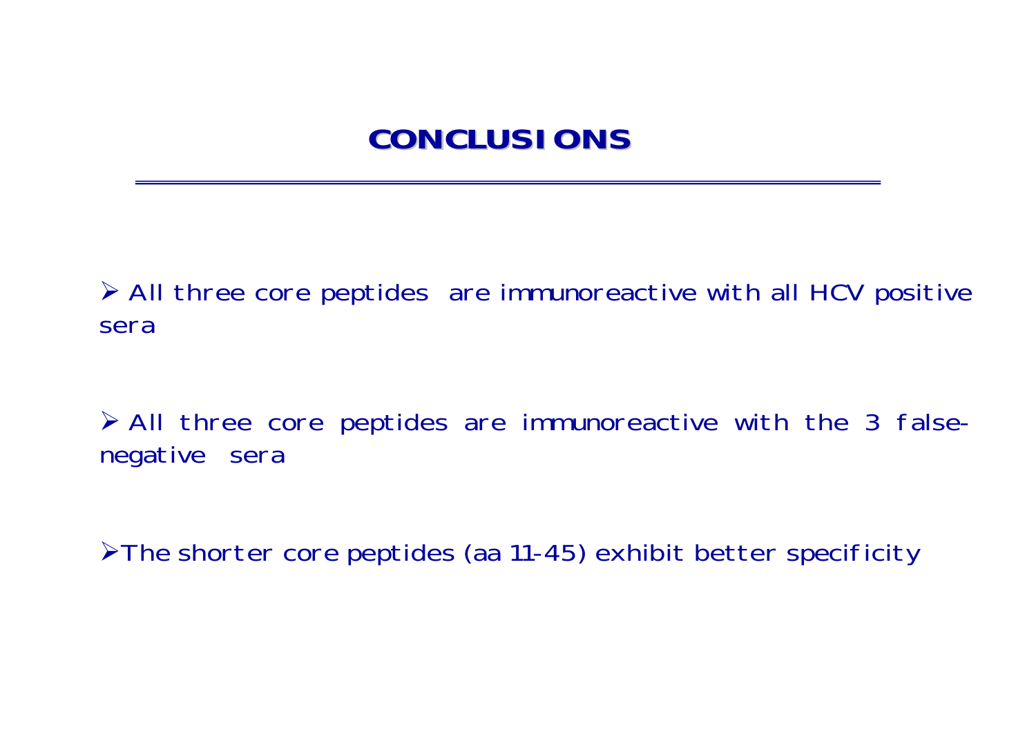## **CONCLUSIONS CONCLUSIONS**

¾ All three core peptides are immunoreactive with all HCV positive sera

¾ All three core peptides are immunoreactive with the 3 falsenegative sera

¾The shorter core peptides (aa 11-45) exhibit better specificity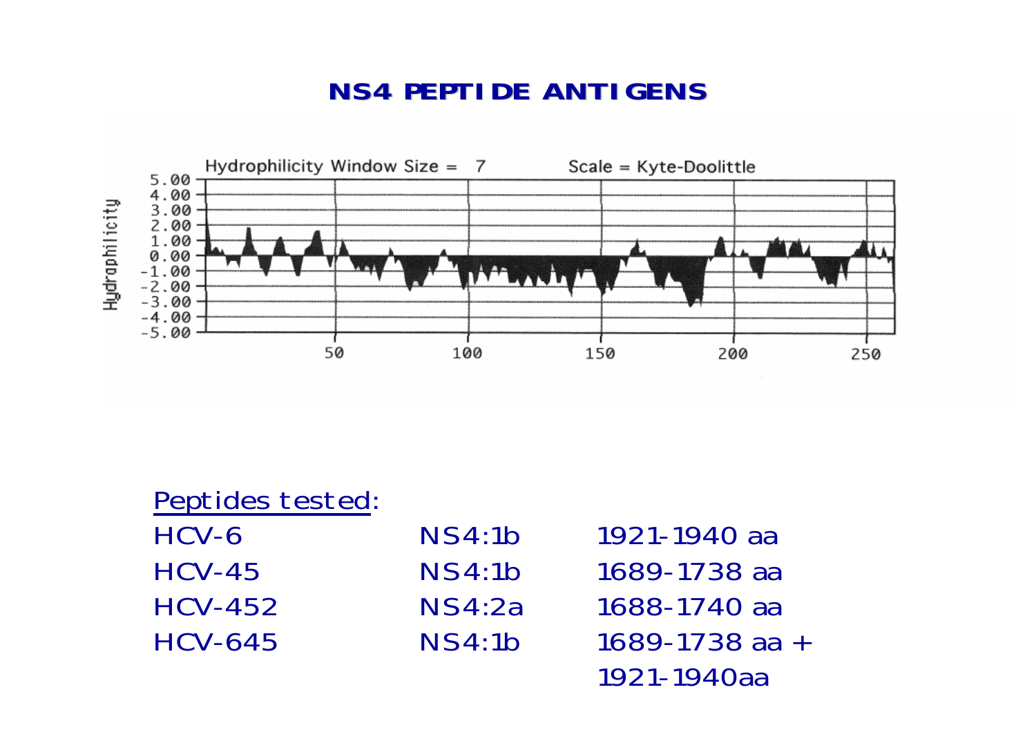#### **NS4 PEPTIDE ANTIGENS 4 PEPTIDE ANTIGENS**



Peptides tested: HCV-6 NS4:1b 1921-1940 aa HCV-45 NS4:1b 1689-1738 aaHCV-452 NS4:2a 1688-1740 aaHCV-645 NS4:1b 1689-1738 aa <sup>+</sup>1921-1940aa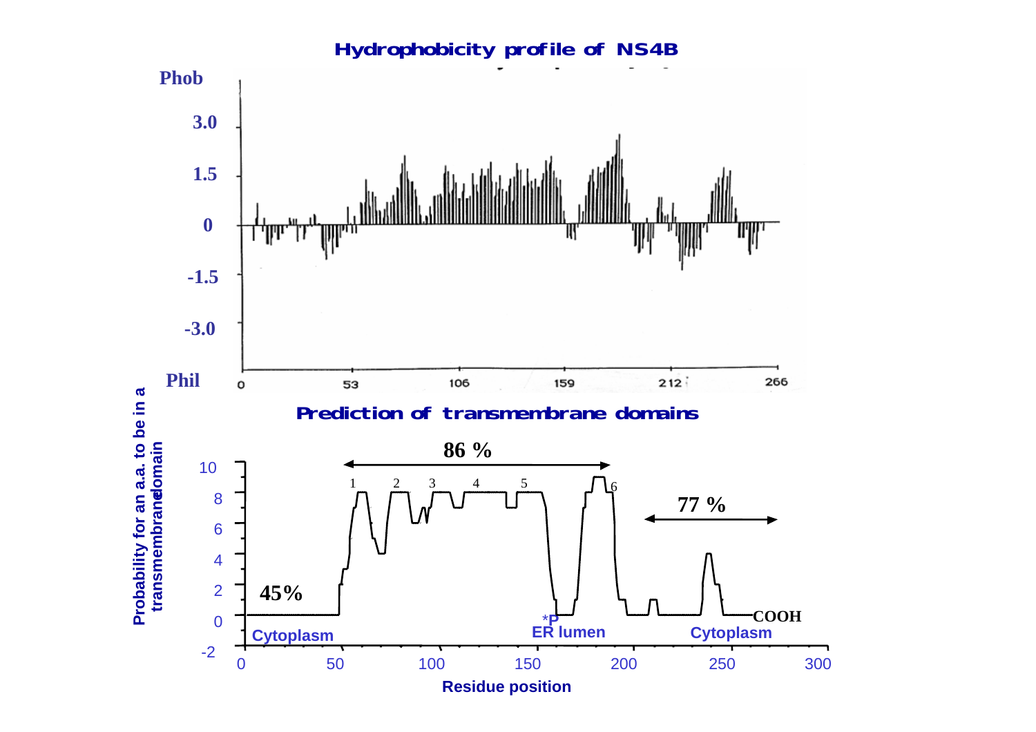#### **Hydrophobicity profile of NS4B Phob 3.0 1.5 0** T **-1.5 -3.0 Phil**  $212$ 266 106 159 53  $\mathbf{o}$ Probability for an a.a. to be in a<br>transmembrandomain **Probability for an a.a. to be in a Prediction of transmembrane domains 86 % transmembranedomain** 10 1 23 4 5 $\frac{3}{16}$ 8 **77 %** 6 4 2 **45% COOH** 0\***P Cytoplasm Cytoplasm** -2 0 50 100 150 200 250 300**Residue position**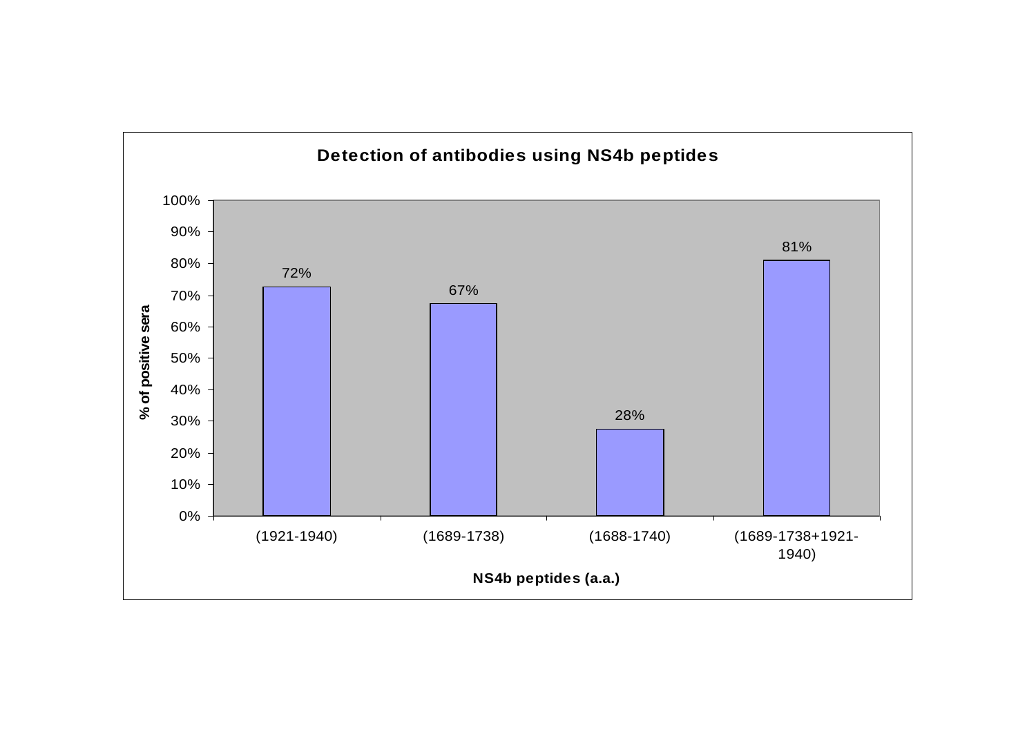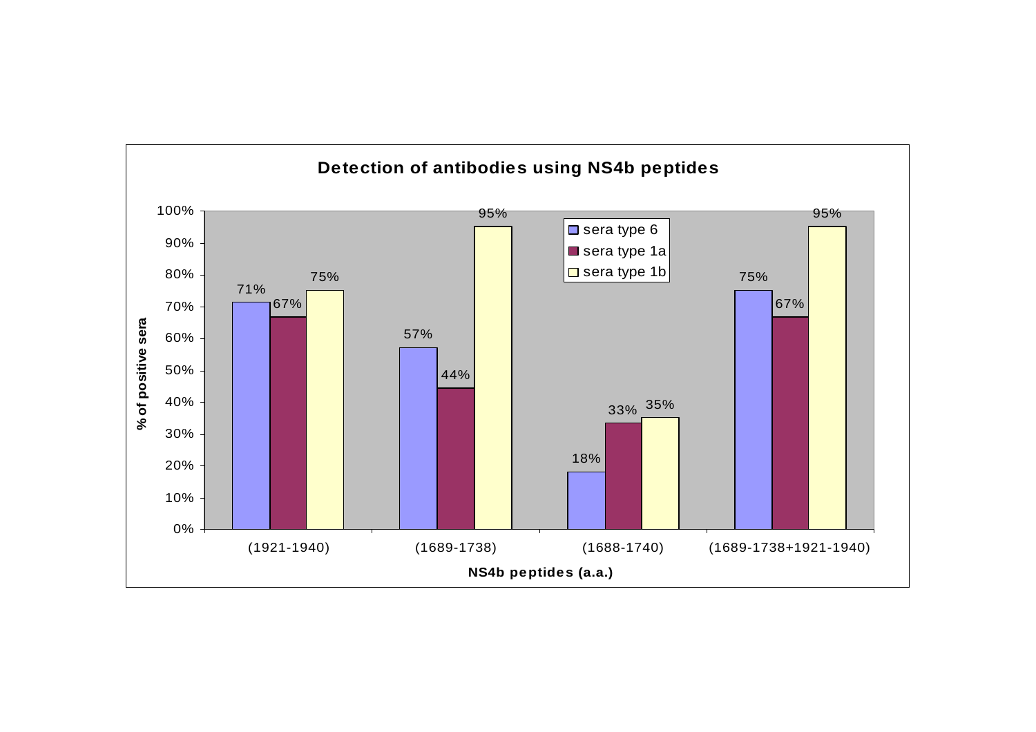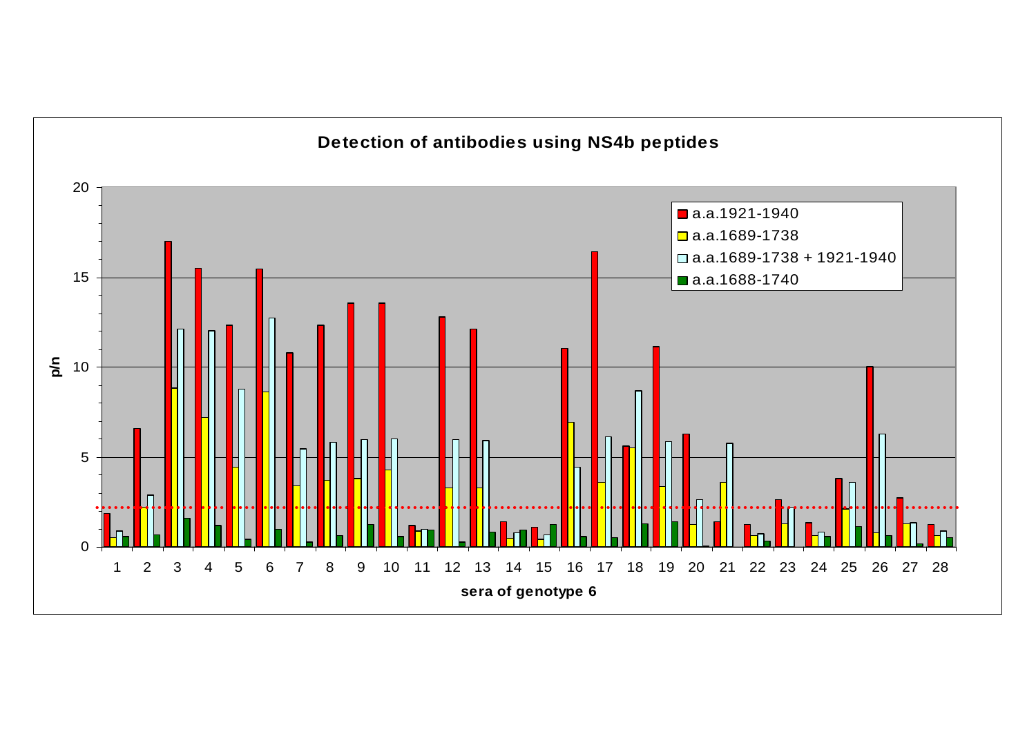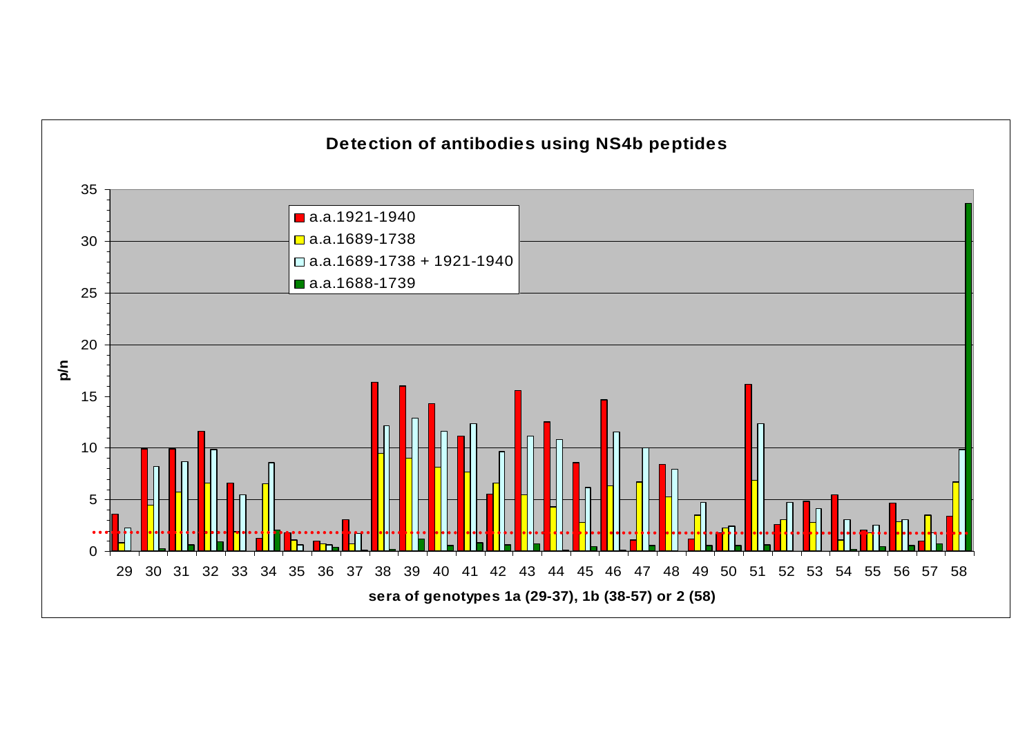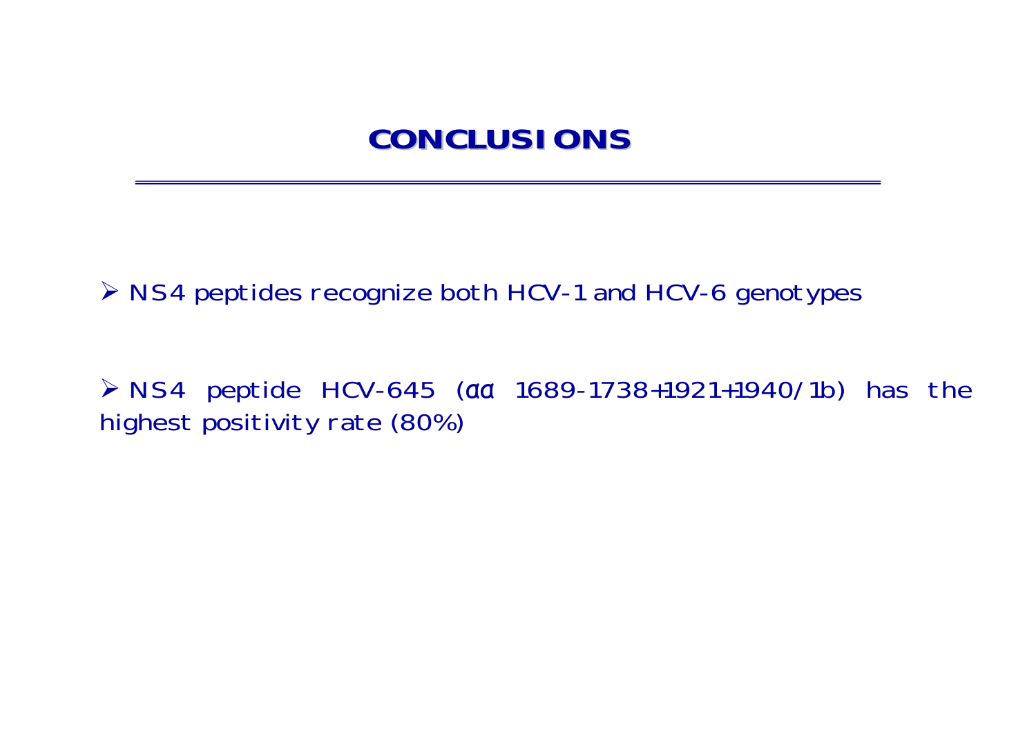## **CONCLUSIONS CONCLUSIONS**

¾ NS4 peptides recognize both HCV-1 and HCV-6 genotypes

¾ NS4 peptide HCV-645 (αα 1689-1738+1921+1940/1b) has the highest positivity rate (80%)